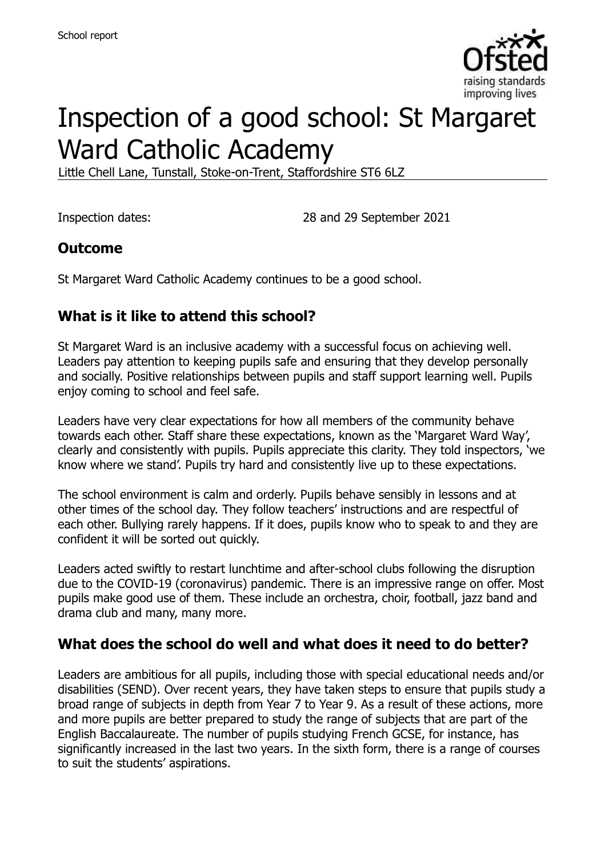

# Inspection of a good school: St Margaret Ward Catholic Academy

Little Chell Lane, Tunstall, Stoke-on-Trent, Staffordshire ST6 6LZ

Inspection dates: 28 and 29 September 2021

#### **Outcome**

St Margaret Ward Catholic Academy continues to be a good school.

#### **What is it like to attend this school?**

St Margaret Ward is an inclusive academy with a successful focus on achieving well. Leaders pay attention to keeping pupils safe and ensuring that they develop personally and socially. Positive relationships between pupils and staff support learning well. Pupils enjoy coming to school and feel safe.

Leaders have very clear expectations for how all members of the community behave towards each other. Staff share these expectations, known as the 'Margaret Ward Way', clearly and consistently with pupils. Pupils appreciate this clarity. They told inspectors, 'we know where we stand'. Pupils try hard and consistently live up to these expectations.

The school environment is calm and orderly. Pupils behave sensibly in lessons and at other times of the school day. They follow teachers' instructions and are respectful of each other. Bullying rarely happens. If it does, pupils know who to speak to and they are confident it will be sorted out quickly.

Leaders acted swiftly to restart lunchtime and after-school clubs following the disruption due to the COVID-19 (coronavirus) pandemic. There is an impressive range on offer. Most pupils make good use of them. These include an orchestra, choir, football, jazz band and drama club and many, many more.

#### **What does the school do well and what does it need to do better?**

Leaders are ambitious for all pupils, including those with special educational needs and/or disabilities (SEND). Over recent years, they have taken steps to ensure that pupils study a broad range of subjects in depth from Year 7 to Year 9. As a result of these actions, more and more pupils are better prepared to study the range of subjects that are part of the English Baccalaureate. The number of pupils studying French GCSE, for instance, has significantly increased in the last two years. In the sixth form, there is a range of courses to suit the students' aspirations.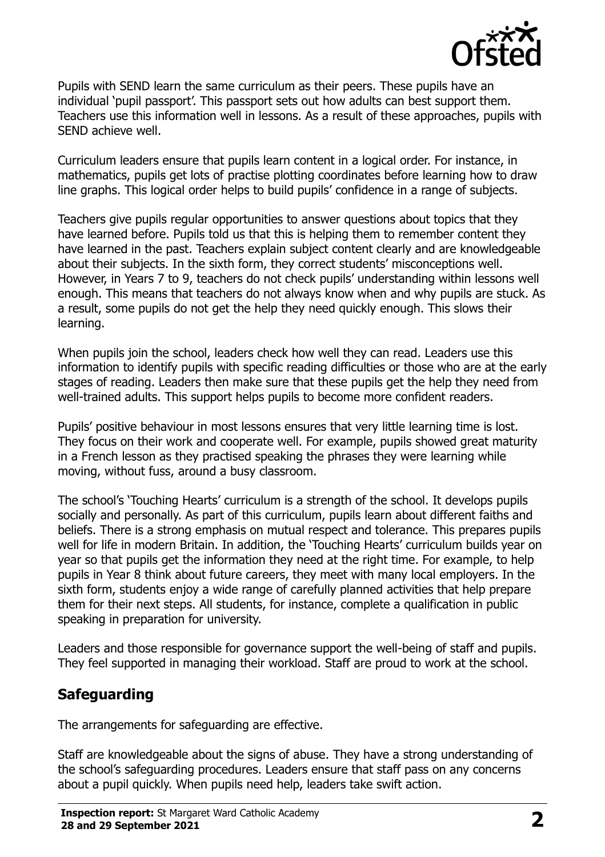

Pupils with SEND learn the same curriculum as their peers. These pupils have an individual 'pupil passport'. This passport sets out how adults can best support them. Teachers use this information well in lessons. As a result of these approaches, pupils with SEND achieve well.

Curriculum leaders ensure that pupils learn content in a logical order. For instance, in mathematics, pupils get lots of practise plotting coordinates before learning how to draw line graphs. This logical order helps to build pupils' confidence in a range of subjects.

Teachers give pupils regular opportunities to answer questions about topics that they have learned before. Pupils told us that this is helping them to remember content they have learned in the past. Teachers explain subject content clearly and are knowledgeable about their subjects. In the sixth form, they correct students' misconceptions well. However, in Years 7 to 9, teachers do not check pupils' understanding within lessons well enough. This means that teachers do not always know when and why pupils are stuck. As a result, some pupils do not get the help they need quickly enough. This slows their learning.

When pupils join the school, leaders check how well they can read. Leaders use this information to identify pupils with specific reading difficulties or those who are at the early stages of reading. Leaders then make sure that these pupils get the help they need from well-trained adults. This support helps pupils to become more confident readers.

Pupils' positive behaviour in most lessons ensures that very little learning time is lost. They focus on their work and cooperate well. For example, pupils showed great maturity in a French lesson as they practised speaking the phrases they were learning while moving, without fuss, around a busy classroom.

The school's 'Touching Hearts' curriculum is a strength of the school. It develops pupils socially and personally. As part of this curriculum, pupils learn about different faiths and beliefs. There is a strong emphasis on mutual respect and tolerance. This prepares pupils well for life in modern Britain. In addition, the 'Touching Hearts' curriculum builds year on year so that pupils get the information they need at the right time. For example, to help pupils in Year 8 think about future careers, they meet with many local employers. In the sixth form, students enjoy a wide range of carefully planned activities that help prepare them for their next steps. All students, for instance, complete a qualification in public speaking in preparation for university.

Leaders and those responsible for governance support the well-being of staff and pupils. They feel supported in managing their workload. Staff are proud to work at the school.

# **Safeguarding**

The arrangements for safeguarding are effective.

Staff are knowledgeable about the signs of abuse. They have a strong understanding of the school's safeguarding procedures. Leaders ensure that staff pass on any concerns about a pupil quickly. When pupils need help, leaders take swift action.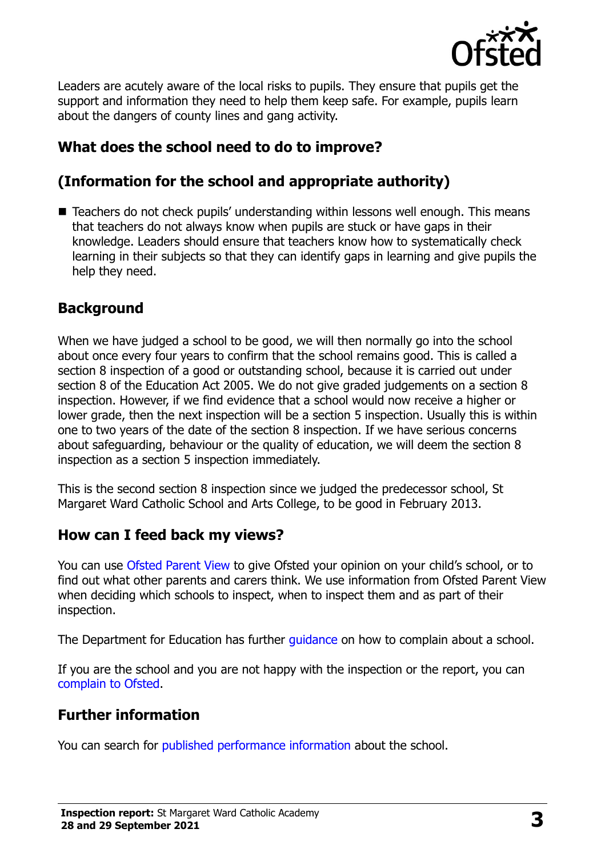

Leaders are acutely aware of the local risks to pupils. They ensure that pupils get the support and information they need to help them keep safe. For example, pupils learn about the dangers of county lines and gang activity.

# **What does the school need to do to improve?**

# **(Information for the school and appropriate authority)**

■ Teachers do not check pupils' understanding within lessons well enough. This means that teachers do not always know when pupils are stuck or have gaps in their knowledge. Leaders should ensure that teachers know how to systematically check learning in their subjects so that they can identify gaps in learning and give pupils the help they need.

# **Background**

When we have judged a school to be good, we will then normally go into the school about once every four years to confirm that the school remains good. This is called a section 8 inspection of a good or outstanding school, because it is carried out under section 8 of the Education Act 2005. We do not give graded judgements on a section 8 inspection. However, if we find evidence that a school would now receive a higher or lower grade, then the next inspection will be a section 5 inspection. Usually this is within one to two years of the date of the section 8 inspection. If we have serious concerns about safeguarding, behaviour or the quality of education, we will deem the section 8 inspection as a section 5 inspection immediately.

This is the second section 8 inspection since we judged the predecessor school, St Margaret Ward Catholic School and Arts College, to be good in February 2013.

# **How can I feed back my views?**

You can use [Ofsted Parent View](https://parentview.ofsted.gov.uk/) to give Ofsted your opinion on your child's school, or to find out what other parents and carers think. We use information from Ofsted Parent View when deciding which schools to inspect, when to inspect them and as part of their inspection.

The Department for Education has further quidance on how to complain about a school.

If you are the school and you are not happy with the inspection or the report, you can [complain to Ofsted.](https://www.gov.uk/complain-ofsted-report)

#### **Further information**

You can search for [published performance information](http://www.compare-school-performance.service.gov.uk/) about the school.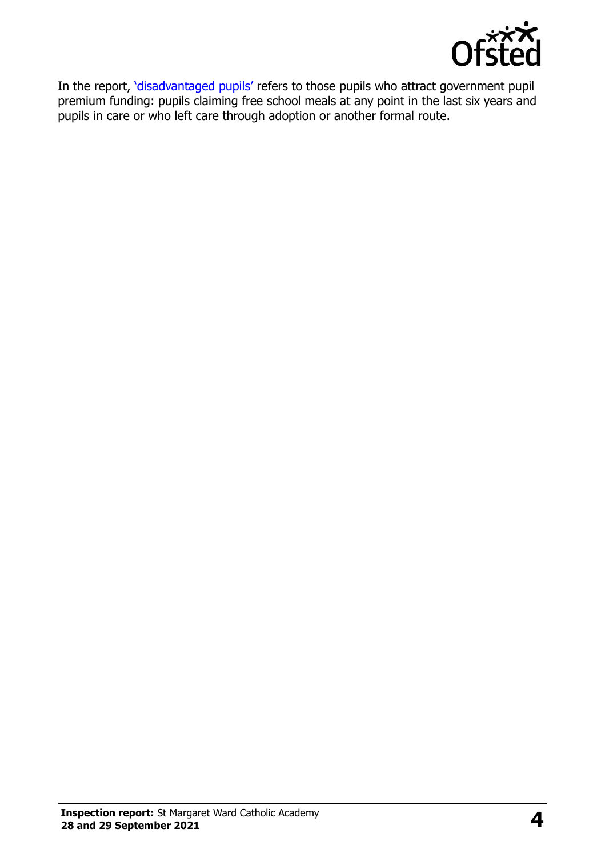

In the report, '[disadvantaged pupils](http://www.gov.uk/guidance/pupil-premium-information-for-schools-and-alternative-provision-settings)' refers to those pupils who attract government pupil premium funding: pupils claiming free school meals at any point in the last six years and pupils in care or who left care through adoption or another formal route.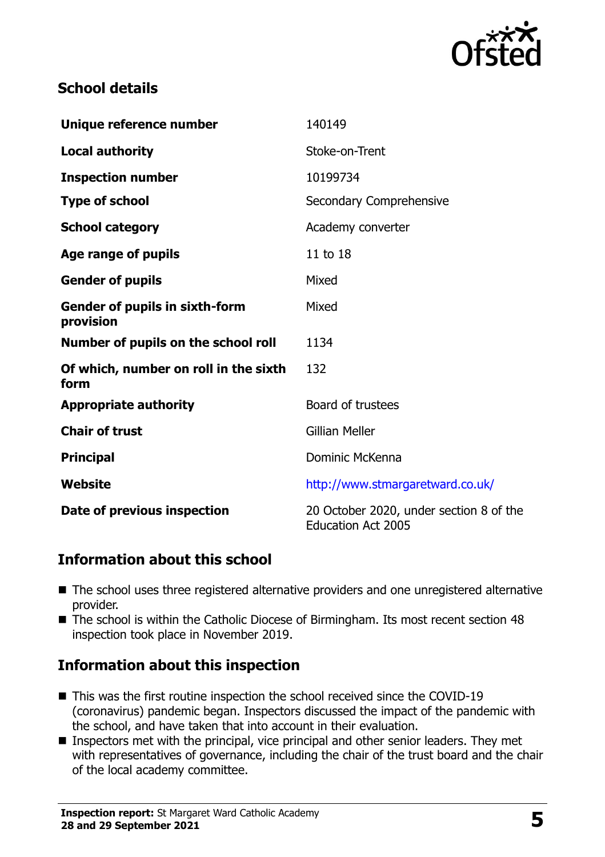

#### **School details**

| Unique reference number                            | 140149                                                               |
|----------------------------------------------------|----------------------------------------------------------------------|
| <b>Local authority</b>                             | Stoke-on-Trent                                                       |
| <b>Inspection number</b>                           | 10199734                                                             |
| <b>Type of school</b>                              | Secondary Comprehensive                                              |
| <b>School category</b>                             | Academy converter                                                    |
| Age range of pupils                                | 11 to 18                                                             |
| <b>Gender of pupils</b>                            | Mixed                                                                |
| <b>Gender of pupils in sixth-form</b><br>provision | Mixed                                                                |
| Number of pupils on the school roll                | 1134                                                                 |
| Of which, number on roll in the sixth<br>form      | 132                                                                  |
| <b>Appropriate authority</b>                       | Board of trustees                                                    |
| <b>Chair of trust</b>                              | <b>Gillian Meller</b>                                                |
| <b>Principal</b>                                   | Dominic McKenna                                                      |
| Website                                            | http://www.stmargaretward.co.uk/                                     |
| Date of previous inspection                        | 20 October 2020, under section 8 of the<br><b>Education Act 2005</b> |

#### **Information about this school**

- The school uses three registered alternative providers and one unregistered alternative provider.
- The school is within the Catholic Diocese of Birmingham. Its most recent section 48 inspection took place in November 2019.

# **Information about this inspection**

- This was the first routine inspection the school received since the COVID-19 (coronavirus) pandemic began. Inspectors discussed the impact of the pandemic with the school, and have taken that into account in their evaluation.
- Inspectors met with the principal, vice principal and other senior leaders. They met with representatives of governance, including the chair of the trust board and the chair of the local academy committee.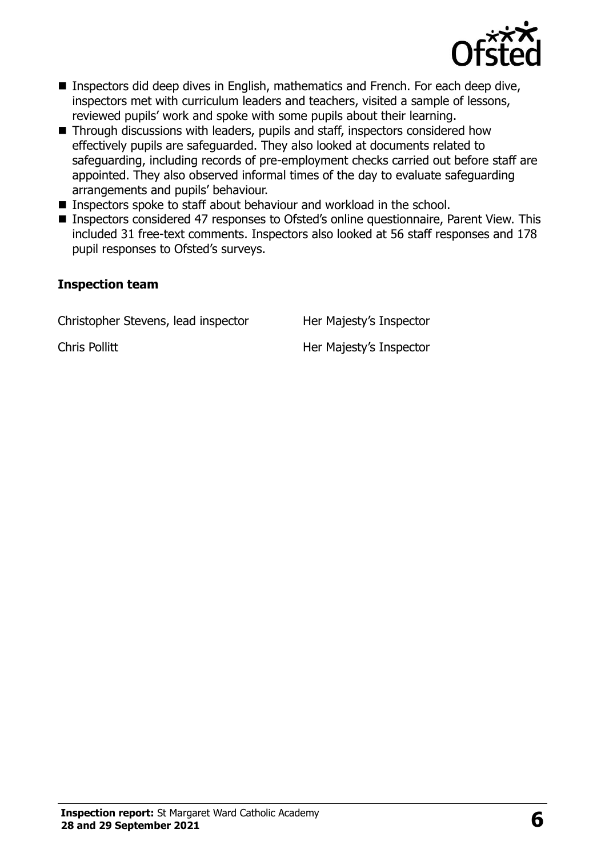

- Inspectors did deep dives in English, mathematics and French. For each deep dive, inspectors met with curriculum leaders and teachers, visited a sample of lessons, reviewed pupils' work and spoke with some pupils about their learning.
- Through discussions with leaders, pupils and staff, inspectors considered how effectively pupils are safeguarded. They also looked at documents related to safeguarding, including records of pre-employment checks carried out before staff are appointed. They also observed informal times of the day to evaluate safeguarding arrangements and pupils' behaviour.
- Inspectors spoke to staff about behaviour and workload in the school.
- Inspectors considered 47 responses to Ofsted's online questionnaire, Parent View. This included 31 free-text comments. Inspectors also looked at 56 staff responses and 178 pupil responses to Ofsted's surveys.

#### **Inspection team**

Christopher Stevens, lead inspector Her Majesty's Inspector

Chris Pollitt **Her Majesty's Inspector**